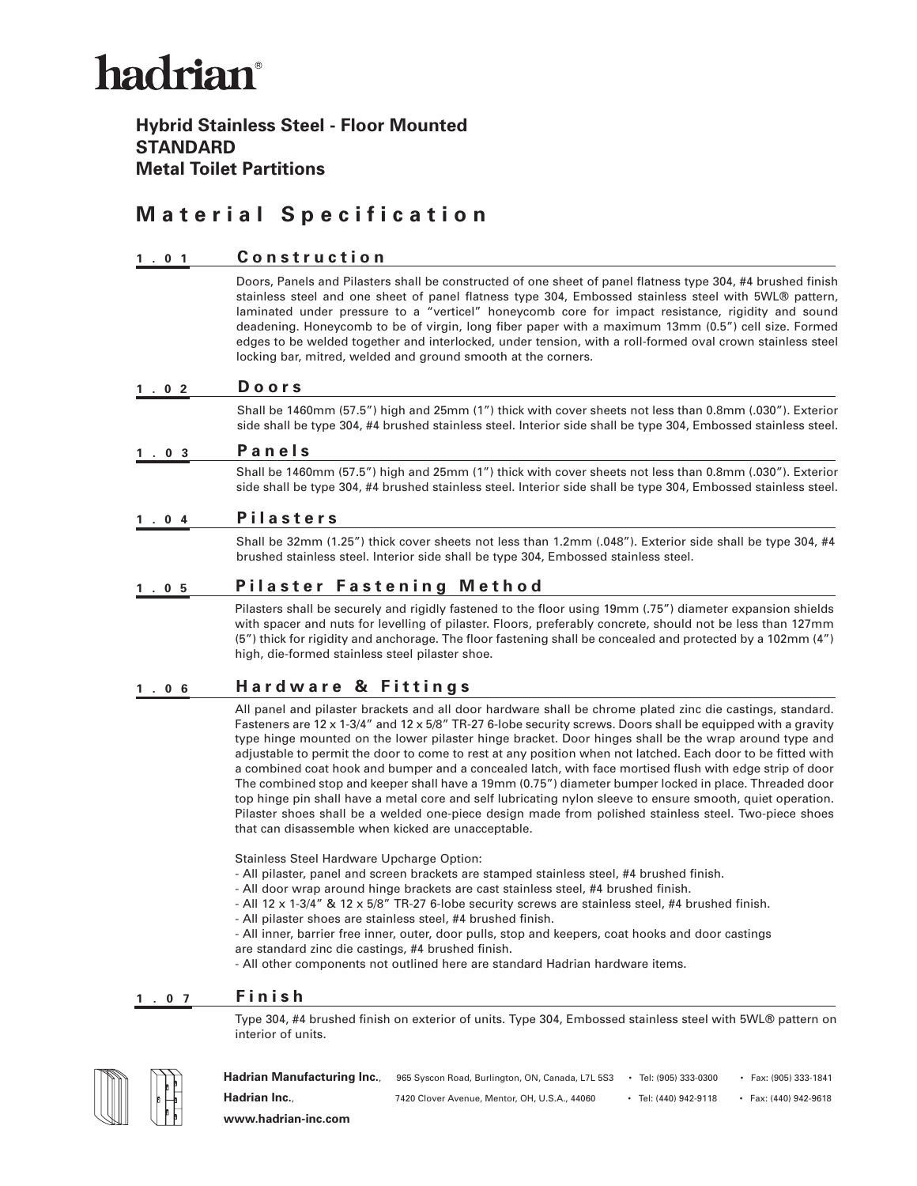# hadrian®

### **Hybrid Stainless Steel - Floor Mounted STANDARD Metal Toilet Partitions**

## **Material Specification**

#### **1.01 Construction**

Doors, Panels and Pilasters shall be constructed of one sheet of panel flatness type 304, #4 brushed finish stainless steel and one sheet of panel flatness type 304, Embossed stainless steel with 5WL® pattern, laminated under pressure to a "verticel" honeycomb core for impact resistance, rigidity and sound deadening. Honeycomb to be of virgin, long fiber paper with a maximum 13mm (0.5") cell size. Formed edges to be welded together and interlocked, under tension, with a roll-formed oval crown stainless steel locking bar, mitred, welded and ground smooth at the corners.

#### **1.02 Doors**

Shall be 1460mm (57.5") high and 25mm (1") thick with cover sheets not less than 0.8mm (.030"). Exterior side shall be type 304, #4 brushed stainless steel. Interior side shall be type 304, Embossed stainless steel.

#### **1.03 Panels**

Shall be 1460mm (57.5") high and 25mm (1") thick with cover sheets not less than 0.8mm (.030"). Exterior side shall be type 304, #4 brushed stainless steel. Interior side shall be type 304, Embossed stainless steel.

### **1.04 Pilasters**

Shall be 32mm (1.25") thick cover sheets not less than 1.2mm (.048"). Exterior side shall be type 304, #4 brushed stainless steel. Interior side shall be type 304, Embossed stainless steel.

#### **1.05 P i l a s t e r F a s t e n i n g M e t h o d**

Pilasters shall be securely and rigidly fastened to the floor using 19mm (.75") diameter expansion shields with spacer and nuts for levelling of pilaster. Floors, preferably concrete, should not be less than 127mm (5") thick for rigidity and anchorage. The floor fastening shall be concealed and protected by a 102mm (4") high, die-formed stainless steel pilaster shoe.

#### **1.06 Hardware & Fittings**

All panel and pilaster brackets and all door hardware shall be chrome plated zinc die castings, standard. Fasteners are 12 x 1-3/4" and 12 x 5/8" TR-27 6-lobe security screws. Doors shall be equipped with a gravity type hinge mounted on the lower pilaster hinge bracket. Door hinges shall be the wrap around type and adjustable to permit the door to come to rest at any position when not latched. Each door to be fitted with a combined coat hook and bumper and a concealed latch, with face mortised flush with edge strip of door The combined stop and keeper shall have a 19mm (0.75") diameter bumper locked in place. Threaded door top hinge pin shall have a metal core and self lubricating nylon sleeve to ensure smooth, quiet operation. Pilaster shoes shall be a welded one-piece design made from polished stainless steel. Two-piece shoes that can disassemble when kicked are unacceptable.

Stainless Steel Hardware Upcharge Option:

- All pilaster, panel and screen brackets are stamped stainless steel, #4 brushed finish.
- All door wrap around hinge brackets are cast stainless steel, #4 brushed finish.
- All 12 x 1-3/4" & 12 x 5/8" TR-27 6-lobe security screws are stainless steel, #4 brushed finish.
- All pilaster shoes are stainless steel, #4 brushed finish.

- All inner, barrier free inner, outer, door pulls, stop and keepers, coat hooks and door castings are standard zinc die castings, #4 brushed finish.

- All other components not outlined here are standard Hadrian hardware items.

#### **1.07 Finish**

Type 304, #4 brushed finish on exterior of units. Type 304, Embossed stainless steel with 5WL® pattern on interior of units.



Hadrian Manufacturing Inc., 965 Syscon Road, Burlington, ON, Canada, L7L 5S3 • Tel: (905) 333-0300 • Fax: (905) 333-1841 **Hadrian Inc.**, 7420 Clover Avenue, Mentor, OH, U.S.A., 44060 • Tel: (440) 942-9118 • Fax: (440) 942-9618 **www.hadrian-inc.com**